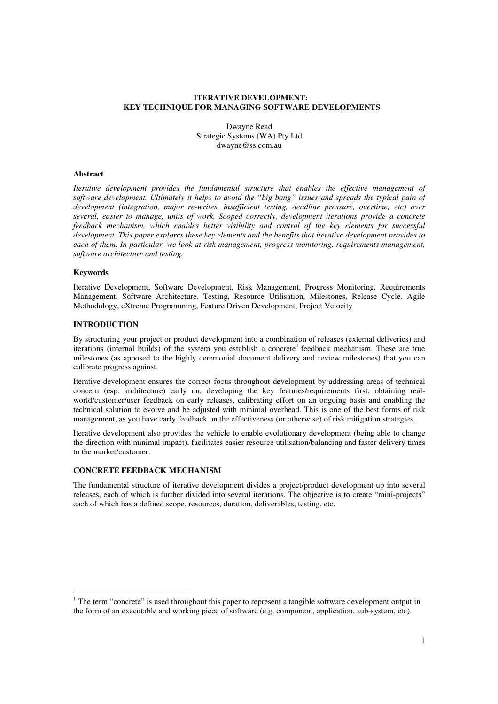# **ITERATIVE DEVELOPMENT: KEY TECHNIQUE FOR MANAGING SOFTWARE DEVELOPMENTS**

Dwayne Read Strategic Systems (WA) Pty Ltd dwayne@ss.com.au

### **Abstract**

*Iterative development provides the fundamental structure that enables the effective management of software development. Ultimately it helps to avoid the "big bang" issues and spreads the typical pain of development (integration, major re-writes, insufficient testing, deadline pressure, overtime, etc) over several, easier to manage, units of work. Scoped correctly, development iterations provide a concrete feedback mechanism, which enables better visibility and control of the key elements for successful development. This paper explores these key elements and the benefits that iterative development provides to each of them. In particular, we look at risk management, progress monitoring, requirements management, software architecture and testing.*

### **Keywords**

Iterative Development, Software Development, Risk Management, Progress Monitoring, Requirements Management, Software Architecture, Testing, Resource Utilisation, Milestones, Release Cycle, Agile Methodology, eXtreme Programming, Feature Driven Development, Project Velocity

# **INTRODUCTION**

By structuring your project or product development into a combination of releases (external deliveries) and iterations (internal builds) of the system you establish a concrete 1 feedback mechanism. These are true milestones (as apposed to the highly ceremonial document delivery and review milestones) that you can calibrate progress against.

Iterative development ensures the correct focus throughout development by addressing areas of technical concern (esp. architecture) early on, developing the key features/requirements first, obtaining realworld/customer/user feedback on early releases, calibrating effort on an ongoing basis and enabling the technical solution to evolve and be adjusted with minimal overhead. This is one of the best forms of risk management, as you have early feedback on the effectiveness (or otherwise) of risk mitigation strategies.

Iterative development also provides the vehicle to enable evolutionary development (being able to change the direction with minimal impact), facilitates easier resource utilisation/balancing and faster delivery times to the market/customer.

# **CONCRETE FEEDBACK MECHANISM**

The fundamental structure of iterative development divides a project/product development up into several releases, each of which is further divided into several iterations. The objective is to create "mini-projects" each of which has a defined scope, resources, duration, deliverables, testing, etc.

<sup>&</sup>lt;sup>1</sup> The term "concrete" is used throughout this paper to represent a tangible software development output in the form of an executable and working piece of software (e.g. component, application, sub-system, etc).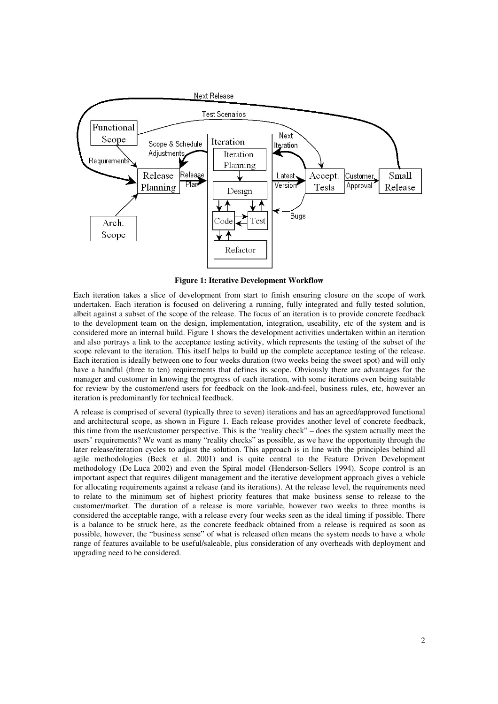

**Figure 1: Iterative Development Workflow**

Each iteration takes a slice of development from start to finish ensuring closure on the scope of work undertaken. Each iteration is focused on delivering a running, fully integrated and fully tested solution, albeit against a subset of the scope of the release. The focus of an iteration is to provide concrete feedback to the development team on the design, implementation, integration, useability, etc of the system and is considered more an internal build. Figure 1 shows the development activities undertaken within an iteration and also portrays a link to the acceptance testing activity, which represents the testing of the subset of the scope relevant to the iteration. This itself helps to build up the complete acceptance testing of the release. Each iteration is ideally between one to four weeks duration (two weeks being the sweet spot) and will only have a handful (three to ten) requirements that defines its scope. Obviously there are advantages for the manager and customer in knowing the progress of each iteration, with some iterations even being suitable for review by the customer/end users for feedback on the look-and-feel, business rules, etc, however an iteration is predominantly for technical feedback.

A release is comprised of several (typically three to seven) iterations and has an agreed/approved functional and architectural scope, as shown in Figure 1. Each release provides another level of concrete feedback, this time from the user/customer perspective. This is the "reality check" – does the system actually meet the users' requirements? We want as many "reality checks" as possible, as we have the opportunity through the later release/iteration cycles to adjust the solution. This approach is in line with the principles behind all agile methodologies (Beck et al. 2001) and is quite central to the Feature Driven Development methodology (De Luca 2002) and even the Spiral model (Henderson-Sellers 1994). Scope control is an important aspect that requires diligent management and the iterative development approach gives a vehicle for allocating requirements against a release (and its iterations). At the release level, the requirements need to relate to the minimum set of highest priority features that make business sense to release to the customer/market. The duration of a release is more variable, however two weeks to three months is considered the acceptable range, with a release every four weeks seen as the ideal timing if possible. There is a balance to be struck here, as the concrete feedback obtained from a release is required as soon as possible, however, the "business sense" of what is released often means the system needs to have a whole range of features available to be useful/saleable, plus consideration of any overheads with deployment and upgrading need to be considered.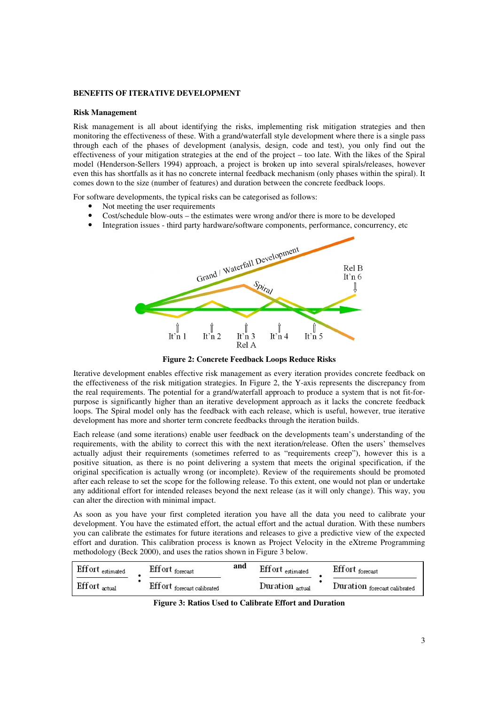# **BENEFITS OF ITERATIVE DEVELOPMENT**

### **Risk Management**

Risk management is all about identifying the risks, implementing risk mitigation strategies and then monitoring the effectiveness of these. With a grand/waterfall style development where there is a single pass through each of the phases of development (analysis, design, code and test), you only find out the effectiveness of your mitigation strategies at the end of the project – too late. With the likes of the Spiral model (Henderson-Sellers 1994) approach, a project is broken up into several spirals/releases, however even this has shortfalls as it has no concrete internal feedback mechanism (only phases within the spiral). It comes down to the size (number of features) and duration between the concrete feedback loops.

For software developments, the typical risks can be categorised as follows:

- Not meeting the user requirements
- Cost/schedule blow-outs the estimates were wrong and/or there is more to be developed
- Integration issues third party hardware/software components, performance, concurrency, etc



**Figure 2: Concrete Feedback Loops Reduce Risks**

Iterative development enables effective risk management as every iteration provides concrete feedback on the effectiveness of the risk mitigation strategies. In Figure 2, the Y-axis represents the discrepancy from the real requirements. The potential for a grand/waterfall approach to produce a system that is not fit-forpurpose is significantly higher than an iterative development approach as it lacks the concrete feedback loops. The Spiral model only has the feedback with each release, which is useful, however, true iterative development has more and shorter term concrete feedbacks through the iteration builds.

Each release (and some iterations) enable user feedback on the developments team's understanding of the requirements, with the ability to correct this with the next iteration/release. Often the users' themselves actually adjust their requirements (sometimes referred to as "requirements creep"), however this is a positive situation, as there is no point delivering a system that meets the original specification, if the original specification is actually wrong (or incomplete). Review of the requirements should be promoted after each release to set the scope for the following release. To this extent, one would not plan or undertake any additional effort for intended releases beyond the next release (as it will only change). This way, you can alter the direction with minimal impact.

As soon as you have your first completed iteration you have all the data you need to calibrate your development. You have the estimated effort, the actual effort and the actual duration. With these numbers you can calibrate the estimates for future iterations and releases to give a predictive view of the expected effort and duration. This calibration process is known as Project Velocity in the eXtreme Programming methodology (Beck 2000), and uses the ratios shown in Figure 3 below.

| Effort estimated | Eff ort forecast            | and | Effort estimated    | Eff ort forecast             |
|------------------|-----------------------------|-----|---------------------|------------------------------|
| Effort actual    | Eff ort forecast calibrated |     | $Duration_{actual}$ | Duration forecast calibrated |

**Figure 3: Ratios Used to Calibrate Effort and Duration**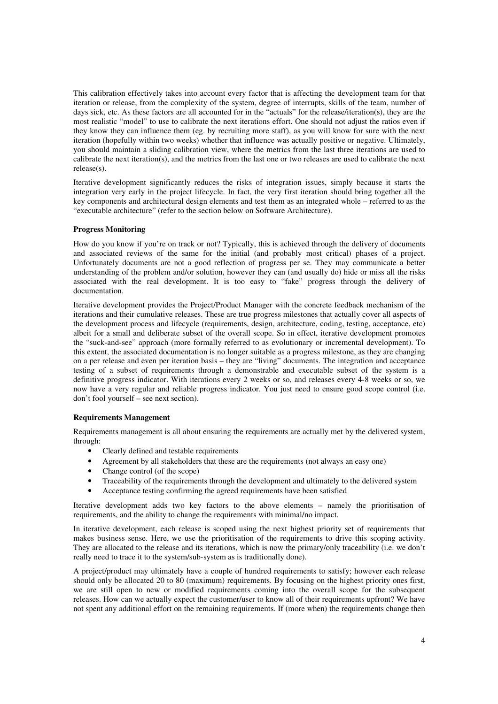This calibration effectively takes into account every factor that is affecting the development team for that iteration or release, from the complexity of the system, degree of interrupts, skills of the team, number of days sick, etc. As these factors are all accounted for in the "actuals" for the release/iteration(s), they are the most realistic "model" to use to calibrate the next iterations effort. One should not adjust the ratios even if they know they can influence them (eg. by recruiting more staff), as you will know for sure with the next iteration (hopefully within two weeks) whether that influence was actually positive or negative. Ultimately, you should maintain a sliding calibration view, where the metrics from the last three iterations are used to calibrate the next iteration(s), and the metrics from the last one or two releases are used to calibrate the next release(s).

Iterative development significantly reduces the risks of integration issues, simply because it starts the integration very early in the project lifecycle. In fact, the very first iteration should bring together all the key components and architectural design elements and test them as an integrated whole – referred to as the "executable architecture" (refer to the section below on Software Architecture).

# **Progress Monitoring**

How do you know if you're on track or not? Typically, this is achieved through the delivery of documents and associated reviews of the same for the initial (and probably most critical) phases of a project. Unfortunately documents are not a good reflection of progress per se. They may communicate a better understanding of the problem and/or solution, however they can (and usually do) hide or miss all the risks associated with the real development. It is too easy to "fake" progress through the delivery of documentation.

Iterative development provides the Project/Product Manager with the concrete feedback mechanism of the iterations and their cumulative releases. These are true progress milestones that actually cover all aspects of the development process and lifecycle (requirements, design, architecture, coding, testing, acceptance, etc) albeit for a small and deliberate subset of the overall scope. So in effect, iterative development promotes the "suck-and-see" approach (more formally referred to as evolutionary or incremental development). To this extent, the associated documentation is no longer suitable as a progress milestone, as they are changing on a per release and even per iteration basis – they are "living" documents. The integration and acceptance testing of a subset of requirements through a demonstrable and executable subset of the system is a definitive progress indicator. With iterations every 2 weeks or so, and releases every 4-8 weeks or so, we now have a very regular and reliable progress indicator. You just need to ensure good scope control (i.e. don't fool yourself – see next section).

# **Requirements Management**

Requirements management is all about ensuring the requirements are actually met by the delivered system, through:

- Clearly defined and testable requirements
- Agreement by all stakeholders that these are the requirements (not always an easy one)
- Change control (of the scope)
- Traceability of the requirements through the development and ultimately to the delivered system
- Acceptance testing confirming the agreed requirements have been satisfied

Iterative development adds two key factors to the above elements – namely the prioritisation of requirements, and the ability to change the requirements with minimal/no impact.

In iterative development, each release is scoped using the next highest priority set of requirements that makes business sense. Here, we use the prioritisation of the requirements to drive this scoping activity. They are allocated to the release and its iterations, which is now the primary/only traceability (i.e. we don't really need to trace it to the system/sub-system as is traditionally done).

A project/product may ultimately have a couple of hundred requirements to satisfy; however each release should only be allocated 20 to 80 (maximum) requirements. By focusing on the highest priority ones first, we are still open to new or modified requirements coming into the overall scope for the subsequent releases. How can we actually expect the customer/user to know all of their requirements upfront? We have not spent any additional effort on the remaining requirements. If (more when) the requirements change then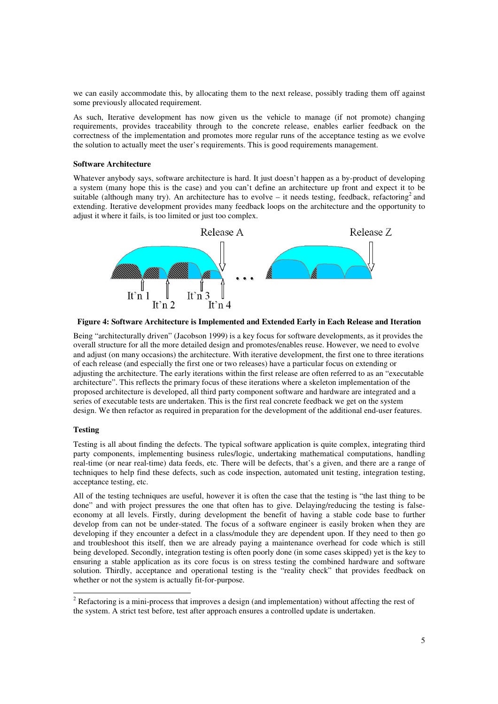we can easily accommodate this, by allocating them to the next release, possibly trading them off against some previously allocated requirement.

As such, Iterative development has now given us the vehicle to manage (if not promote) changing requirements, provides traceability through to the concrete release, enables earlier feedback on the correctness of the implementation and promotes more regular runs of the acceptance testing as we evolve the solution to actually meet the user's requirements. This is good requirements management.

### **Software Architecture**

Whatever anybody says, software architecture is hard. It just doesn't happen as a by-product of developing a system (many hope this is the case) and you can't define an architecture up front and expect it to be suitable (although many try). An architecture has to evolve  $-$  it needs testing, feedback, refactoring<sup>2</sup> and extending. Iterative development provides many feedback loops on the architecture and the opportunity to adjust it where it fails, is too limited or just too complex.



**Figure 4: Software Architecture is Implemented and Extended Early in Each Release and Iteration**

Being "architecturally driven" (Jacobson 1999) is a key focus for software developments, as it provides the overall structure for all the more detailed design and promotes/enables reuse. However, we need to evolve and adjust (on many occasions) the architecture. With iterative development, the first one to three iterations of each release (and especially the first one or two releases) have a particular focus on extending or adjusting the architecture. The early iterations within the first release are often referred to as an "executable architecture". This reflects the primary focus of these iterations where a skeleton implementation of the proposed architecture is developed, all third party component software and hardware are integrated and a series of executable tests are undertaken. This is the first real concrete feedback we get on the system design. We then refactor as required in preparation for the development of the additional end-user features.

### **Testing**

Testing is all about finding the defects. The typical software application is quite complex, integrating third party components, implementing business rules/logic, undertaking mathematical computations, handling real-time (or near real-time) data feeds, etc. There will be defects, that's a given, and there are a range of techniques to help find these defects, such as code inspection, automated unit testing, integration testing, acceptance testing, etc.

All of the testing techniques are useful, however it is often the case that the testing is "the last thing to be done" and with project pressures the one that often has to give. Delaying/reducing the testing is falseeconomy at all levels. Firstly, during development the benefit of having a stable code base to further develop from can not be under-stated. The focus of a software engineer is easily broken when they are developing if they encounter a defect in a class/module they are dependent upon. If they need to then go and troubleshoot this itself, then we are already paying a maintenance overhead for code which is still being developed. Secondly, integration testing is often poorly done (in some cases skipped) yet is the key to ensuring a stable application as its core focus is on stress testing the combined hardware and software solution. Thirdly, acceptance and operational testing is the "reality check" that provides feedback on whether or not the system is actually fit-for-purpose.

<sup>&</sup>lt;sup>2</sup> Refactoring is a mini-process that improves a design (and implementation) without affecting the rest of the system. A strict test before, test after approach ensures a controlled update is undertaken.